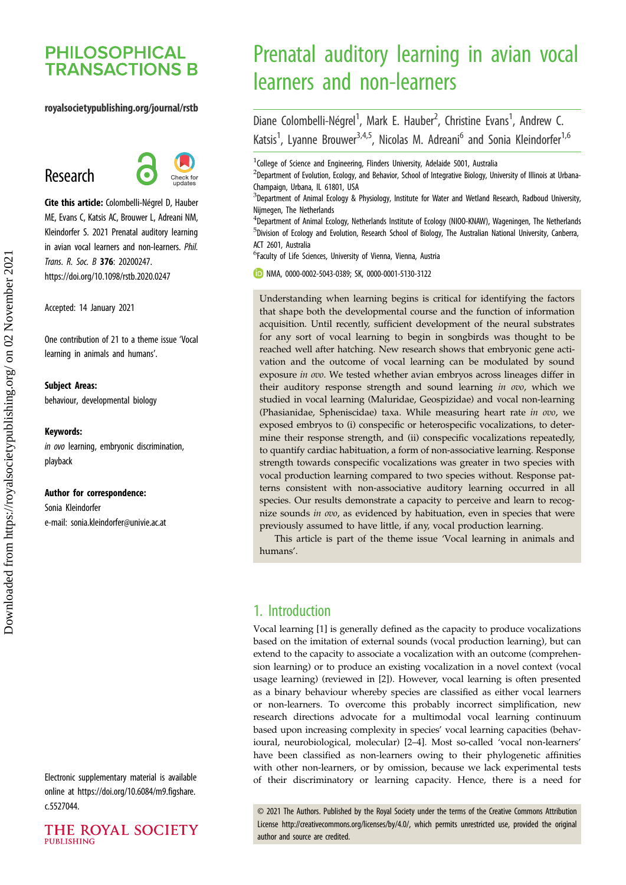## **PHILOSOPHICAL TRANSACTIONS B**

#### royalsocietypublishing.org/journal/rstb

# Research



Cite this article: Colombelli-Négrel D, Hauber ME, Evans C, Katsis AC, Brouwer L, Adreani NM, Kleindorfer S. 2021 Prenatal auditory learning in avian vocal learners and non-learners. Phil. Trans. R. Soc. B 376: 20200247. https://doi.org/10.1098/rstb.2020.0247

Accepted: 14 January 2021

One contribution of 21 to a theme issue '[Vocal](http://dx.doi.org/10.1098/rstb/376/1836) [learning in animals and humans](http://dx.doi.org/10.1098/rstb/376/1836)'.

#### Subject Areas:

behaviour, developmental biology

#### Keywords:

in ovo learning, embryonic discrimination, playback

#### Author for correspondence:

Sonia Kleindorfer e-mail: [sonia.kleindorfer@univie.ac.at](mailto:sonia.kleindorfer@univie.ac.at)

Electronic supplementary material is available online at [https://doi.org/10.6084/m9.figshare.](https://doi.org/10.6084/m9.figshare.c.5527044) [c.5527044.](https://doi.org/10.6084/m9.figshare.c.5527044)

THE ROYAL SOCIETY PURLISHING

# Prenatal auditory learning in avian vocal learners and non-learners

Diane Colombelli-Négrel<sup>1</sup>, Mark E. Hauber<sup>2</sup>, Christine Evans<sup>1</sup>, Andrew C. Katsis<sup>1</sup>, Lyanne Brouwer<sup>3,4,5</sup>, Nicolas M. Adreani<sup>6</sup> and Sonia Kleindorfer<sup>1,6</sup>

<sup>1</sup>College of Science and Engineering, Flinders University, Adelaide 5001, Australia

 $^{2}$ Department of Evolution, Ecology, and Behavior, School of Integrative Biology, University of Illinois at Urbana-Champaign, Urbana, IL 61801, USA

<sup>3</sup>Department of Animal Ecology & Physiology, Institute for Water and Wetland Research, Radboud University, Nijmegen, The Netherlands

<sup>4</sup>Department of Animal Ecology, Netherlands Institute of Ecology (NIOO-KNAW), Wageningen, The Netherlands 5 Division of Ecology and Evolution, Research School of Biology, The Australian National University, Canberra, ACT 2601, Australia

6 Faculty of Life Sciences, University of Vienna, Vienna, Austria

NMA, [0000-0002-5043-0389;](http://orcid.org/0000-0002-5043-0389) SK, [0000-0001-5130-3122](http://orcid.org/0000-0001-5130-3122)

Understanding when learning begins is critical for identifying the factors that shape both the developmental course and the function of information acquisition. Until recently, sufficient development of the neural substrates for any sort of vocal learning to begin in songbirds was thought to be reached well after hatching. New research shows that embryonic gene activation and the outcome of vocal learning can be modulated by sound exposure in ovo. We tested whether avian embryos across lineages differ in their auditory response strength and sound learning in ovo, which we studied in vocal learning (Maluridae, Geospizidae) and vocal non-learning (Phasianidae, Spheniscidae) taxa. While measuring heart rate in ovo, we exposed embryos to (i) conspecific or heterospecific vocalizations, to determine their response strength, and (ii) conspecific vocalizations repeatedly, to quantify cardiac habituation, a form of non-associative learning. Response strength towards conspecific vocalizations was greater in two species with vocal production learning compared to two species without. Response patterns consistent with non-associative auditory learning occurred in all species. Our results demonstrate a capacity to perceive and learn to recognize sounds in ovo, as evidenced by habituation, even in species that were previously assumed to have little, if any, vocal production learning.

This article is part of the theme issue 'Vocal learning in animals and humans'.

## 1. Introduction

Vocal learning [[1](#page-4-0)] is generally defined as the capacity to produce vocalizations based on the imitation of external sounds (vocal production learning), but can extend to the capacity to associate a vocalization with an outcome (comprehension learning) or to produce an existing vocalization in a novel context (vocal usage learning) (reviewed in [[2](#page-4-0)]). However, vocal learning is often presented as a binary behaviour whereby species are classified as either vocal learners or non-learners. To overcome this probably incorrect simplification, new research directions advocate for a multimodal vocal learning continuum based upon increasing complexity in species' vocal learning capacities (behavioural, neurobiological, molecular) [[2](#page-4-0)–[4](#page-4-0)]. Most so-called 'vocal non-learners' have been classified as non-learners owing to their phylogenetic affinities with other non-learners, or by omission, because we lack experimental tests of their discriminatory or learning capacity. Hence, there is a need for

© 2021 The Authors. Published by the Royal Society under the terms of the Creative Commons Attribution License<http://creativecommons.org/licenses/by/4.0/>, which permits unrestricted use, provided the original author and source are credited.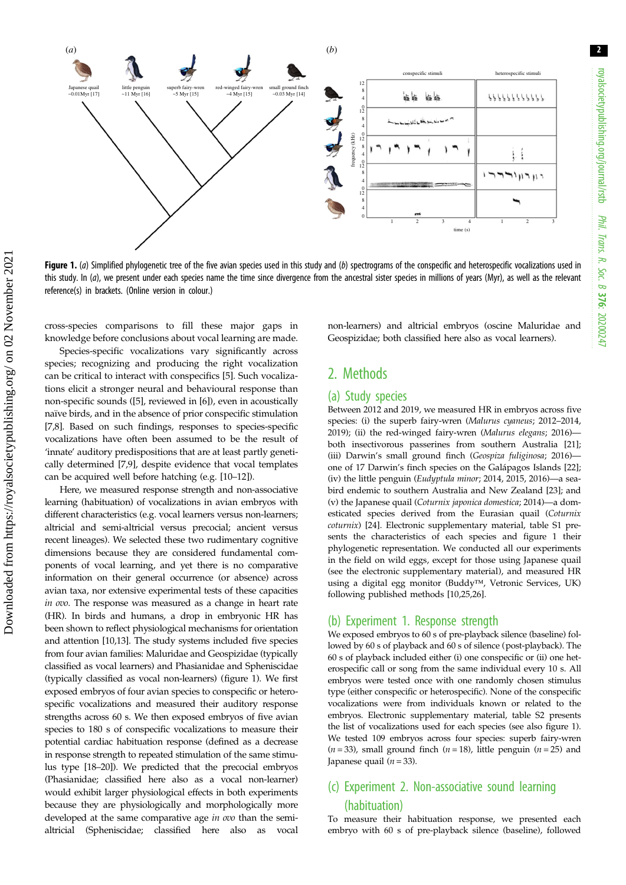

Figure 1. (a) Simplified phylogenetic tree of the five avian species used in this study and (b) spectrograms of the conspecific and heterospecific vocalizations used in this study. In (a), we present under each species name the time since divergence from the ancestral sister species in millions of years (Myr), as well as the relevant reference(s) in brackets. (Online version in colour.)

cross-species comparisons to fill these major gaps in knowledge before conclusions about vocal learning are made.

Species-specific vocalizations vary significantly across species; recognizing and producing the right vocalization can be critical to interact with conspecifics [\[5\]](#page-4-0). Such vocalizations elicit a stronger neural and behavioural response than non-specific sounds ([\[5\]](#page-4-0), reviewed in [\[6\]](#page-4-0)), even in acoustically naïve birds, and in the absence of prior conspecific stimulation [\[7,8](#page-4-0)]. Based on such findings, responses to species-specific vocalizations have often been assumed to be the result of 'innate' auditory predispositions that are at least partly genetically determined [\[7,9](#page-4-0)], despite evidence that vocal templates can be acquired well before hatching (e.g. [\[10](#page-4-0)–[12](#page-4-0)]).

Here, we measured response strength and non-associative learning (habituation) of vocalizations in avian embryos with different characteristics (e.g. vocal learners versus non-learners; altricial and semi-altricial versus precocial; ancient versus recent lineages). We selected these two rudimentary cognitive dimensions because they are considered fundamental components of vocal learning, and yet there is no comparative information on their general occurrence (or absence) across avian taxa, nor extensive experimental tests of these capacities in ovo. The response was measured as a change in heart rate (HR). In birds and humans, a drop in embryonic HR has been shown to reflect physiological mechanisms for orientation and attention [\[10,](#page-4-0)[13\]](#page-5-0). The study systems included five species from four avian families: Maluridae and Geospizidae (typically classified as vocal learners) and Phasianidae and Spheniscidae (typically classified as vocal non-learners) (figure 1). We first exposed embryos of four avian species to conspecific or heterospecific vocalizations and measured their auditory response strengths across 60 s. We then exposed embryos of five avian species to 180 s of conspecific vocalizations to measure their potential cardiac habituation response (defined as a decrease in response strength to repeated stimulation of the same stimulus type [[18](#page-5-0)–[20\]](#page-5-0)). We predicted that the precocial embryos (Phasianidae; classified here also as a vocal non-learner) would exhibit larger physiological effects in both experiments because they are physiologically and morphologically more developed at the same comparative age in ovo than the semialtricial (Spheniscidae; classified here also as vocal non-learners) and altricial embryos (oscine Maluridae and Geospizidae; both classified here also as vocal learners).

## 2. Methods

#### (a) Study species

Between 2012 and 2019, we measured HR in embryos across five species: (i) the superb fairy-wren (Malurus cyaneus; 2012–2014, 2019); (ii) the red-winged fairy-wren (Malurus elegans; 2016)both insectivorous passerines from southern Australia [\[21\]](#page-5-0); (iii) Darwin's small ground finch (Geospiza fuliginosa; 2016) one of 17 Darwin's finch species on the Galápagos Islands [\[22\]](#page-5-0); (iv) the little penguin (Eudyptula minor; 2014, 2015, 2016)—a seabird endemic to southern Australia and New Zealand [\[23\]](#page-5-0); and (v) the Japanese quail (Coturnix japonica domestica; 2014)—a domesticated species derived from the Eurasian quail (Coturnix coturnix) [\[24\]](#page-5-0). Electronic supplementary material, table S1 presents the characteristics of each species and figure 1 their phylogenetic representation. We conducted all our experiments in the field on wild eggs, except for those using Japanese quail (see the electronic supplementary material), and measured HR using a digital egg monitor (Buddy™, Vetronic Services, UK) following published methods [\[10,](#page-4-0)[25,26\]](#page-5-0).

#### (b) Experiment 1. Response strength

We exposed embryos to 60 s of pre-playback silence (baseline) followed by 60 s of playback and 60 s of silence (post-playback). The 60 s of playback included either (i) one conspecific or (ii) one heterospecific call or song from the same individual every 10 s. All embryos were tested once with one randomly chosen stimulus type (either conspecific or heterospecific). None of the conspecific vocalizations were from individuals known or related to the embryos. Electronic supplementary material, table S2 presents the list of vocalizations used for each species (see also figure 1). We tested 109 embryos across four species: superb fairy-wren  $(n = 33)$ , small ground finch  $(n = 18)$ , little penguin  $(n = 25)$  and Japanese quail  $(n = 33)$ .

## (c) Experiment 2. Non-associative sound learning (habituation)

To measure their habituation response, we presented each embryo with 60 s of pre-playback silence (baseline), followed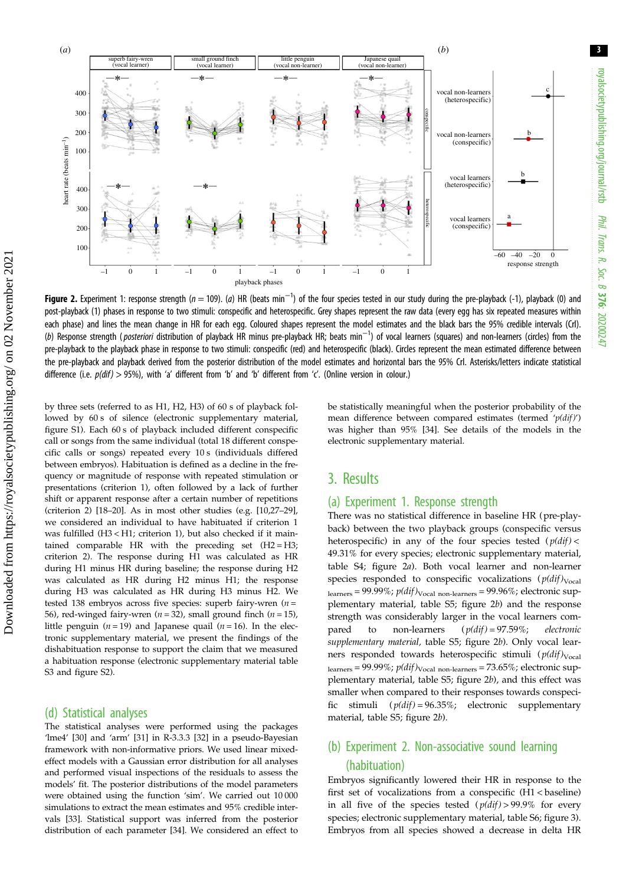

Figure 2. Experiment 1: response strength ( $n = 109$ ). (a) HR (beats min $^{-1}$ ) of the four species tested in our study during the pre-playback (-1), playback (0) and post-playback (1) phases in response to two stimuli: conspecific and heterospecific. Grey shapes represent the raw data (every egg has six repeated measures within each phase) and lines the mean change in HR for each egg. Coloured shapes represent the model estimates and the black bars the 95% credible intervals (CrI). (b) Response strength (*posteriori* distribution of playback HR minus pre-playback HR; beats min<sup>-1</sup>) of vocal learners (squares) and non-learners (circles) from the pre-playback to the playback phase in response to two stimuli: conspecific (red) and heterospecific (black). Circles represent the mean estimated difference between the pre-playback and playback derived from the posterior distribution of the model estimates and horizontal bars the 95% CrI. Asterisks/letters indicate statistical difference (i.e.  $p(dif) > 95\%)$ , with 'a' different from 'b' and 'b' different from 'c'. (Online version in colour.)

by three sets (referred to as H1, H2, H3) of 60 s of playback followed by 60 s of silence (electronic supplementary material, figure S1). Each 60 s of playback included different conspecific call or songs from the same individual (total 18 different conspecific calls or songs) repeated every 10 s (individuals differed between embryos). Habituation is defined as a decline in the frequency or magnitude of response with repeated stimulation or presentations (criterion 1), often followed by a lack of further shift or apparent response after a certain number of repetitions (criterion 2) [[18](#page-5-0)–[20](#page-5-0)]. As in most other studies (e.g. [[10](#page-4-0)[,27](#page-5-0)–[29\]](#page-5-0), we considered an individual to have habituated if criterion 1 was fulfilled (H3 < H1; criterion 1), but also checked if it maintained comparable HR with the preceding set  $(H2 = H3)$ ; criterion 2). The response during H1 was calculated as HR during H1 minus HR during baseline; the response during H2 was calculated as HR during H2 minus H1; the response during H3 was calculated as HR during H3 minus H2. We tested 138 embryos across five species: superb fairy-wren  $(n =$ 56), red-winged fairy-wren ( $n = 32$ ), small ground finch ( $n = 15$ ), little penguin ( $n = 19$ ) and Japanese quail ( $n = 16$ ). In the electronic supplementary material, we present the findings of the dishabituation response to support the claim that we measured a habituation response (electronic supplementary material table S3 and figure S2).

#### (d) Statistical analyses

Downloaded from https://royalsocietypublishing.org/ on 02 November 2021

Downloaded from https://royalsocietypublishing.org/ on 02 November 2021

The statistical analyses were performed using the packages 'lme4' [\[30\]](#page-5-0) and 'arm' [[31](#page-5-0)] in R-3.3.3 [\[32\]](#page-5-0) in a pseudo-Bayesian framework with non-informative priors. We used linear mixedeffect models with a Gaussian error distribution for all analyses and performed visual inspections of the residuals to assess the models' fit. The posterior distributions of the model parameters were obtained using the function 'sim'. We carried out 10 000 simulations to extract the mean estimates and 95% credible intervals [\[33\]](#page-5-0). Statistical support was inferred from the posterior distribution of each parameter [\[34\]](#page-5-0). We considered an effect to be statistically meaningful when the posterior probability of the mean difference between compared estimates (termed ' $p(di)$ ') was higher than 95% [[34](#page-5-0)]. See details of the models in the electronic supplementary material.

## 3. Results

#### (a) Experiment 1. Response strength

There was no statistical difference in baseline HR (pre-playback) between the two playback groups (conspecific versus heterospecific) in any of the four species tested  $(p(dif) <$ 49.31% for every species; electronic supplementary material, table S4; figure 2a). Both vocal learner and non-learner species responded to conspecific vocalizations  $(p(dif)_{Vocal}$  $l_{\text{learners}} = 99.99\%$ ;  $p(dif)_{\text{Vocal non-learners}} = 99.96\%$ ; electronic supplementary material, table S5; figure 2b) and the response strength was considerably larger in the vocal learners compared to non-learners  $(p(dif) = 97.59\%;$  electronic supplementary material, table S5; figure 2b). Only vocal learners responded towards heterospecific stimuli  $(p(di)_{Vocal}$  $_{\rm{learners}}$  = 99.99%;  $p(dif)_{\rm{Vocal\ non-learners}}$  = 73.65%; electronic supplementary material, table S5; figure 2b), and this effect was smaller when compared to their responses towards conspecific stimuli  $(p(di) = 96.35\%;$  electronic supplementary material, table S5; figure 2b).

## (b) Experiment 2. Non-associative sound learning (habituation)

Embryos significantly lowered their HR in response to the first set of vocalizations from a conspecific (H1 < baseline) in all five of the species tested  $(p(di) > 99.9\%$  for every species; electronic supplementary material, table S6; [figure 3\)](#page-3-0). Embryos from all species showed a decrease in delta HR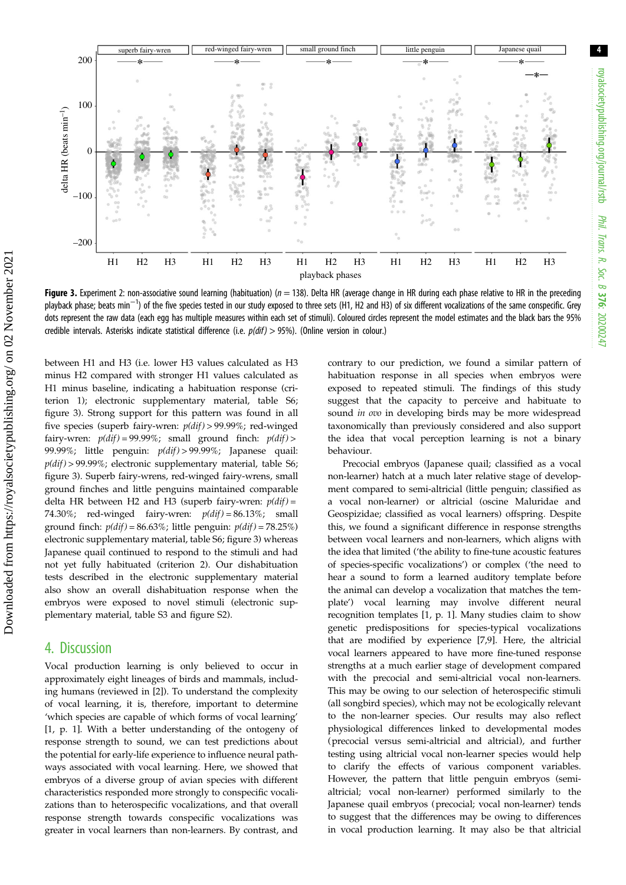<span id="page-3-0"></span>

Figure 3. Experiment 2: non-associative sound learning (habituation) ( $n = 138$ ). Delta HR (average change in HR during each phase relative to HR in the preceding playback phase; beats min<sup>-1</sup>) of the five species tested in our study exposed to three sets (H1, H2 and H3) of six different vocalizations of the same conspecific. Grey dots represent the raw data (each egg has multiple measures within each set of stimuli). Coloured circles represent the model estimates and the black bars the 95% credible intervals. Asterisks indicate statistical difference (i.e.  $p(dtf) > 95%$ ). (Online version in colour.)

between H1 and H3 (i.e. lower H3 values calculated as H3 minus H2 compared with stronger H1 values calculated as H1 minus baseline, indicating a habituation response (criterion 1); electronic supplementary material, table S6; figure 3). Strong support for this pattern was found in all five species (superb fairy-wren:  $p(di) > 99.99\%$ ; red-winged fairy-wren:  $p(di) = 99.99\%$ ; small ground finch:  $p(di) >$ 99.99%; little penguin:  $p(di) > 99.99\%$ ; Japanese quail:  $p(di) > 99.99\%$ ; electronic supplementary material, table S6; figure 3). Superb fairy-wrens, red-winged fairy-wrens, small ground finches and little penguins maintained comparable delta HR between H2 and H3 (superb fairy-wren:  $p(di) =$ 74.30%; red-winged fairy-wren:  $p(di) = 86.13\%$ ; small ground finch:  $p(di) = 86.63\%$ ; little penguin:  $p(di) = 78.25\%$ ) electronic supplementary material, table S6; figure 3) whereas Japanese quail continued to respond to the stimuli and had not yet fully habituated (criterion 2). Our dishabituation tests described in the electronic supplementary material also show an overall dishabituation response when the embryos were exposed to novel stimuli (electronic supplementary material, table S3 and figure S2).

### 4. Discussion

Vocal production learning is only believed to occur in approximately eight lineages of birds and mammals, including humans (reviewed in [\[2\]](#page-4-0)). To understand the complexity of vocal learning, it is, therefore, important to determine 'which species are capable of which forms of vocal learning' [\[1,](#page-4-0) p. 1]. With a better understanding of the ontogeny of response strength to sound, we can test predictions about the potential for early-life experience to influence neural pathways associated with vocal learning. Here, we showed that embryos of a diverse group of avian species with different characteristics responded more strongly to conspecific vocalizations than to heterospecific vocalizations, and that overall response strength towards conspecific vocalizations was greater in vocal learners than non-learners. By contrast, and contrary to our prediction, we found a similar pattern of habituation response in all species when embryos were exposed to repeated stimuli. The findings of this study suggest that the capacity to perceive and habituate to sound in ovo in developing birds may be more widespread taxonomically than previously considered and also support the idea that vocal perception learning is not a binary behaviour.

Precocial embryos (Japanese quail; classified as a vocal non-learner) hatch at a much later relative stage of development compared to semi-altricial (little penguin; classified as a vocal non-learner) or altricial (oscine Maluridae and Geospizidae; classified as vocal learners) offspring. Despite this, we found a significant difference in response strengths between vocal learners and non-learners, which aligns with the idea that limited ('the ability to fine-tune acoustic features of species-specific vocalizations') or complex ('the need to hear a sound to form a learned auditory template before the animal can develop a vocalization that matches the template') vocal learning may involve different neural recognition templates [\[1](#page-4-0), p. 1]. Many studies claim to show genetic predispositions for species-typical vocalizations that are modified by experience [[7](#page-4-0),[9](#page-4-0)]. Here, the altricial vocal learners appeared to have more fine-tuned response strengths at a much earlier stage of development compared with the precocial and semi-altricial vocal non-learners. This may be owing to our selection of heterospecific stimuli (all songbird species), which may not be ecologically relevant to the non-learner species. Our results may also reflect physiological differences linked to developmental modes (precocial versus semi-altricial and altricial), and further testing using altricial vocal non-learner species would help to clarify the effects of various component variables. However, the pattern that little penguin embryos (semialtricial; vocal non-learner) performed similarly to the Japanese quail embryos (precocial; vocal non-learner) tends to suggest that the differences may be owing to differences in vocal production learning. It may also be that altricial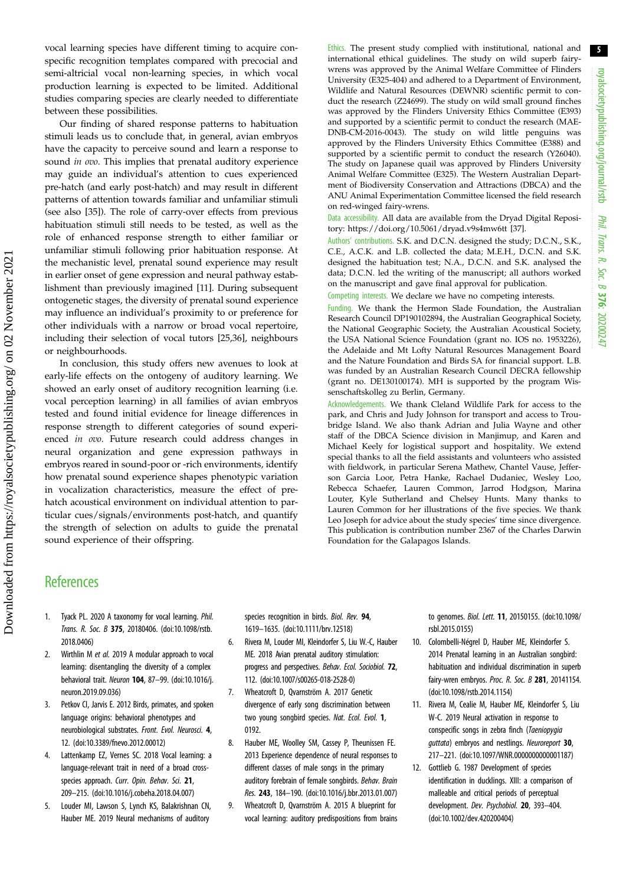<span id="page-4-0"></span>vocal learning species have different timing to acquire conspecific recognition templates compared with precocial and semi-altricial vocal non-learning species, in which vocal production learning is expected to be limited. Additional studies comparing species are clearly needed to differentiate between these possibilities.

Our finding of shared response patterns to habituation stimuli leads us to conclude that, in general, avian embryos have the capacity to perceive sound and learn a response to sound *in ovo*. This implies that prenatal auditory experience may guide an individual's attention to cues experienced pre-hatch (and early post-hatch) and may result in different patterns of attention towards familiar and unfamiliar stimuli (see also [[35\]](#page-5-0)). The role of carry-over effects from previous habituation stimuli still needs to be tested, as well as the role of enhanced response strength to either familiar or unfamiliar stimuli following prior habituation response. At the mechanistic level, prenatal sound experience may result in earlier onset of gene expression and neural pathway establishment than previously imagined [11]. During subsequent ontogenetic stages, the diversity of prenatal sound experience may influence an individual's proximity to or preference for other individuals with a narrow or broad vocal repertoire, including their selection of vocal tutors [[25,36](#page-5-0)], neighbours or neighbourhoods.

In conclusion, this study offers new avenues to look at early-life effects on the ontogeny of auditory learning. We showed an early onset of auditory recognition learning (i.e. vocal perception learning) in all families of avian embryos tested and found initial evidence for lineage differences in response strength to different categories of sound experienced in ovo. Future research could address changes in neural organization and gene expression pathways in embryos reared in sound-poor or -rich environments, identify how prenatal sound experience shapes phenotypic variation in vocalization characteristics, measure the effect of prehatch acoustical environment on individual attention to particular cues/signals/environments post-hatch, and quantify the strength of selection on adults to guide the prenatal sound experience of their offspring.

Ethics. The present study complied with institutional, national and international ethical guidelines. The study on wild superb fairywrens was approved by the Animal Welfare Committee of Flinders University (E325-404) and adhered to a Department of Environment, Wildlife and Natural Resources (DEWNR) scientific permit to conduct the research (Z24699). The study on wild small ground finches was approved by the Flinders University Ethics Committee (E393) and supported by a scientific permit to conduct the research (MAE-DNB-CM-2016-0043). The study on wild little penguins was approved by the Flinders University Ethics Committee (E388) and supported by a scientific permit to conduct the research (Y26040). The study on Japanese quail was approved by Flinders University Animal Welfare Committee (E325). The Western Australian Department of Biodiversity Conservation and Attractions (DBCA) and the ANU Animal Experimentation Committee licensed the field research on red-winged fairy-wrens.

Data accessibility. All data are available from the Dryad Digital Repository:<https://doi.org/10.5061/dryad.v9s4mw6tt> [\[37](#page-5-0)].

Authors' contributions. S.K. and D.C.N. designed the study; D.C.N., S.K., C.E., A.C.K. and L.B. collected the data; M.E.H., D.C.N. and S.K. designed the habituation test; N.A., D.C.N. and S.K. analysed the data; D.C.N. led the writing of the manuscript; all authors worked on the manuscript and gave final approval for publication.

Competing interests. We declare we have no competing interests.

Funding. We thank the Hermon Slade Foundation, the Australian Research Council DP190102894, the Australian Geographical Society, the National Geographic Society, the Australian Acoustical Society, the USA National Science Foundation (grant no. IOS no. 1953226), the Adelaide and Mt Lofty Natural Resources Management Board and the Nature Foundation and Birds SA for financial support. L.B. was funded by an Australian Research Council DECRA fellowship (grant no. DE130100174). MH is supported by the program Wissenschaftskolleg zu Berlin, Germany.

Acknowledgements. We thank Cleland Wildlife Park for access to the park, and Chris and Judy Johnson for transport and access to Troubridge Island. We also thank Adrian and Julia Wayne and other staff of the DBCA Science division in Manjimup, and Karen and Michael Keely for logistical support and hospitality. We extend special thanks to all the field assistants and volunteers who assisted with fieldwork, in particular Serena Mathew, Chantel Vause, Jefferson Garcia Loor, Petra Hanke, Rachael Dudaniec, Wesley Loo, Rebecca Schaefer, Lauren Common, Jarrod Hodgson, Marina Louter, Kyle Sutherland and Chelsey Hunts. Many thanks to Lauren Common for her illustrations of the five species. We thank Leo Joseph for advice about the study species' time since divergence. This publication is contribution number 2367 of the Charles Darwin Foundation for the Galapagos Islands.

## **References**

- Tyack PL. 2020 A taxonomy for vocal learning. Phil. Trans. R. Soc. B 375, 20180406. [\(doi:10.1098/rstb.](http://dx.doi.org/10.1098/rstb.2018.0406) [2018.0406\)](http://dx.doi.org/10.1098/rstb.2018.0406)
- 2. Wirthlin M et al. 2019 A modular approach to vocal learning: disentangling the diversity of a complex behavioral trait. Neuron 104, 87–99. [\(doi:10.1016/j.](http://dx.doi.org/10.1016/j.neuron.2019.09.036) [neuron.2019.09.036\)](http://dx.doi.org/10.1016/j.neuron.2019.09.036)
- 3. Petkov CI, Jarvis E. 2012 Birds, primates, and spoken language origins: behavioral phenotypes and neurobiological substrates. Front. Evol. Neurosci. 4, 12. ([doi:10.3389/fnevo.2012.00012](http://dx.doi.org/10.3389/fnevo.2012.00012))
- 4. Lattenkamp EZ, Vernes SC. 2018 Vocal learning: a language-relevant trait in need of a broad crossspecies approach. Curr. Opin. Behav. Sci. 21, 209–215. ([doi:10.1016/j.cobeha.2018.04.007\)](http://dx.doi.org/10.1016/j.cobeha.2018.04.007)
- 5. Louder MI, Lawson S, Lynch KS, Balakrishnan CN, Hauber ME. 2019 Neural mechanisms of auditory

species recognition in birds. Biol. Rev. 94, 1619–1635. [\(doi:10.1111/brv.12518](http://dx.doi.org/10.1111/brv.12518))

- 6. Rivera M, Louder MI, Kleindorfer S, Liu W.-C, Hauber ME. 2018 Avian prenatal auditory stimulation: progress and perspectives. Behav. Ecol. Sociobiol. 72, 112. ([doi:10.1007/s00265-018-2528-0](http://dx.doi.org/10.1007/s00265-018-2528-0))
- 7. Wheatcroft D, Qvarnström A. 2017 Genetic divergence of early song discrimination between two young songbird species. Nat. Ecol. Evol. 1, 0192.
- 8. Hauber ME, Woolley SM, Cassey P, Theunissen FE. 2013 Experience dependence of neural responses to different classes of male songs in the primary auditory forebrain of female songbirds. Behav. Brain Res. 243, 184–190. [\(doi:10.1016/j.bbr.2013.01.007\)](http://dx.doi.org/10.1016/j.bbr.2013.01.007)
- 9. Wheatcroft D, Qvarnström A. 2015 A blueprint for vocal learning: auditory predispositions from brains

to genomes. Biol. Lett. 11, 20150155. [\(doi:10.1098/](http://dx.doi.org/10.1098/rsbl.2015.0155) [rsbl.2015.0155](http://dx.doi.org/10.1098/rsbl.2015.0155))

- 10. Colombelli-Négrel D, Hauber ME, Kleindorfer S. 2014 Prenatal learning in an Australian songbird: habituation and individual discrimination in superb fairy-wren embryos. Proc. R. Soc. B 281, 20141154. ([doi:10.1098/rstb.2014.1154](http://dx.doi.org/10.1098/rstb.2014.1154))
- 11. Rivera M, Cealie M, Hauber ME, Kleindorfer S, Liu W-C. 2019 Neural activation in response to conspecific songs in zebra finch (Taeniopygia guttata) embryos and nestlings. Neuroreport 30, 217–221. [\(doi:10.1097/WNR.0000000000001187](http://dx.doi.org/10.1097/WNR.0000000000001187))
- 12. Gottlieb G. 1987 Development of species identification in ducklings. XIII: a comparison of malleable and critical periods of perceptual development. Dev. Psychobiol. 20, 393–404. ([doi:10.1002/dev.420200404](http://dx.doi.org/10.1002/dev.420200404))